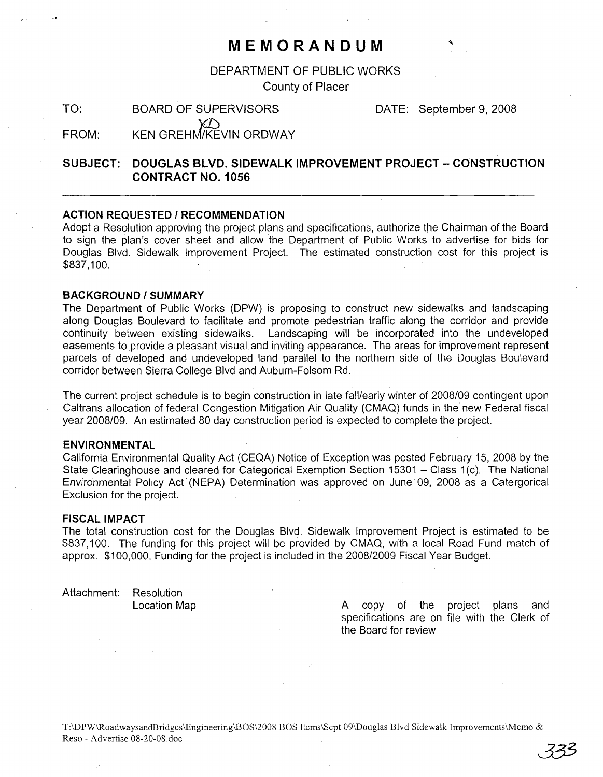## **MEMORANDUM**

DEPARTMENT OF PUBLIC WORKS

County of Placer

TO: BOARD OF SUPERVISORS DATE: September 9, 2008

FROM: KEN GREHM/KEVIN ORDWAY

### **SUBJECT: DOUGLAS BLVD. SIDEWALK IMPROVEMENT PROJECT - CONSTRUCTION CONTRACT NO.1 056**

#### **ACTION REQUESTED / RECOMMENDATION**

Adopt a Resolution approving the project plans and specifications, authorize the Chairman of the Board to sign the plan's cover sheet and allow the Department of Public Works to advertise for bids for Douglas Blvd. Sidewalk Improvement Project. The estimated construction cost for this project is \$837,100.

#### **BACKGROUND/SUMMARY**

The Department of Public Works (DPW) is proposing to construct new sidewalks and landscaping along Douglas Boulevard to facilitate and promote pedestrian traffic along the corridor and provide continuity between existing sidewalks. Landscaping will be incorporated into the undeveloped easements to provide a pleasant visual. and inviting appearance. The areas for improvement represent parcels of developed and undeveloped land parallel to the northern side of the Douglas Boulevard corridor between Sierra College Blvd and Auburn-Folsom Rd.

The current project schedule is to begin construction in late fall/early winter of *2008/09* contingent upon Caltrans allocation of federal Congestion Mitigation Air Quality (CMAQ) funds in the new Federal fiscal year *2008/09.* An estimated 80 day construction period is expected to complete the project.

#### **ENVIRONMENTAL**

California Environmental Quality Act (CEQA) Notice of Exception was posted February 15, 2008 by the State Clearinghouse and cleared for Categorical Exemption Section 15301 - Class 1(c). The National Environmental Policy Act (NEPA) Determination was approved on June" 09, 2008 as a Catergorical" Exclusion for the project.

#### **FISCAL IMPACT**

The total construction cost for the Douglas Blvd. Sidewalk Improvement Project is estimated to be \$837,100. The funding for this project will be provided by CMAQ, with a local Road Fund match of approx. \$100,000. Funding for the project is included in the *2008/2009* Fiscal Year Budget.

Attachment: Resolution

Location Map **A** copy of the project plans and specifications are on file with the Clerk of the Board for review

T:\DPW\RoadwaysandBridges\Engineering\BOS\2008 BOS Items\Sept 09\Douglas Blvd Sidewalk Improvements\Memo & Reso - Advertise 08-20-08.doc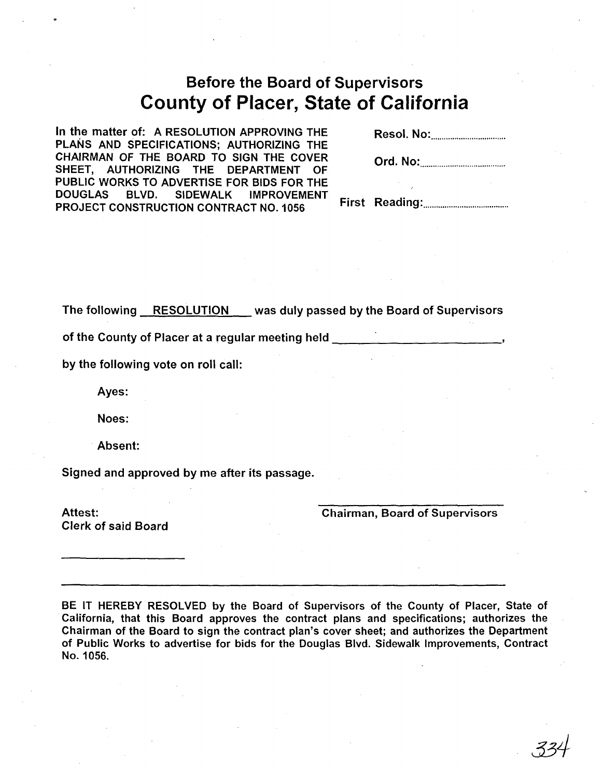# **Before the Board of Supervisors County of Placer, State of California**

In the matter of: A RESOLUTION APPROVING THE PLANS AND SPECIFICATIONS; AUTHORIZING THE CHAIRMAN OF THE BOARD TO SIGN THE COVER SHEET, AUTHORIZING THE DEPARTMENT OF PUBLIC WORKS TO ADVERTISE FOR BIDS FOR THE DOUGLAS BLVD. SIDEWALK IMPROVEMENT PROJECT CONSTRUCTION CONTRACT NO. 1056

Resol. No: .

Ord. No: ..

First Reading: ..

The following RESOLUTION was duly passed by the Board of Supervisors

of the County of Placer at a regular meeting held \_

by the following vote on roll call:

Ayes:

Noes:

Absent:

Signed and approved by me after its passage.

Attest: Clerk of said Board Chairman, Board of Supervisors

BE IT HEREBY RESOLVED by the Board of Supervisors of the County of Placer, State of California, that this Board approves the contract plans and specifications; authorizes the Chairman of the Board to sign the contract plan's cover sheet; and authorizes the Department of Public Works to advertise for bids for the Douglas Blvd. Sidewalk Improvements, Contract No. 1056.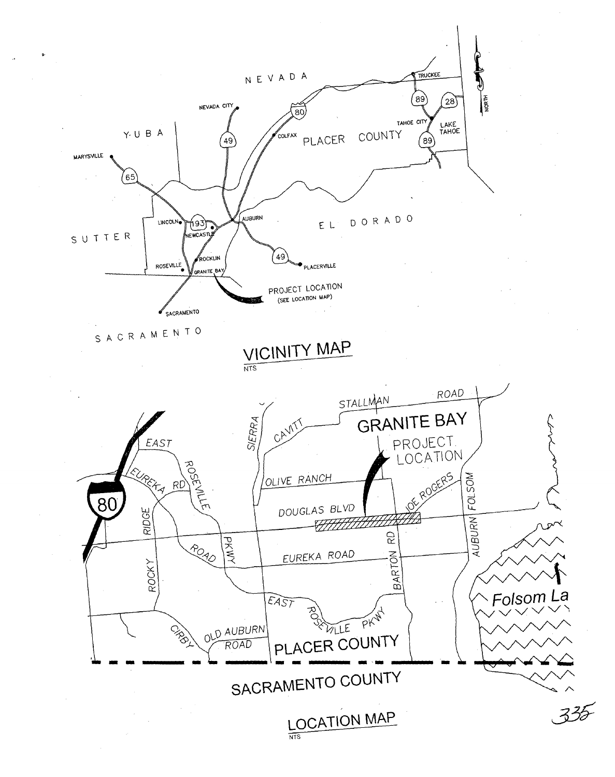